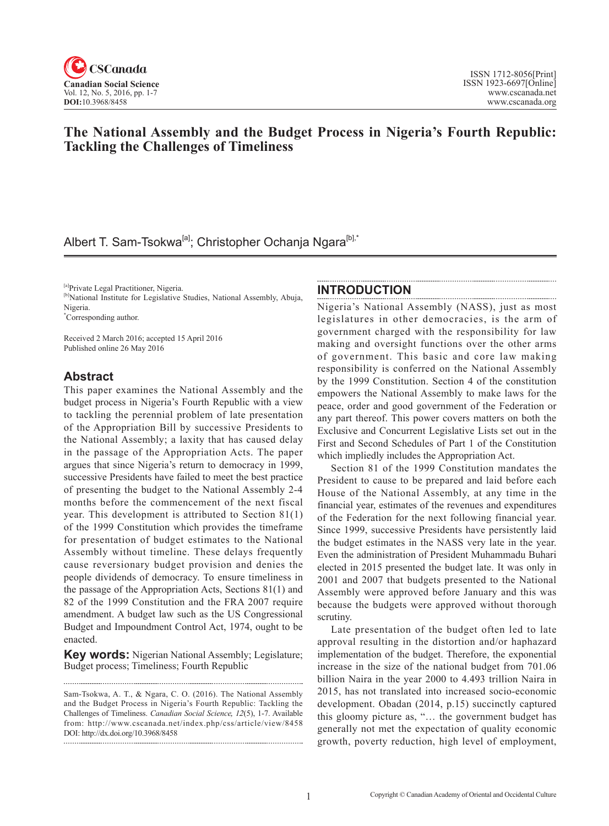

# **The National Assembly and the Budget Process in Nigeria's Fourth Republic: Tackling the Challenges of Timeliness**

# Albert T. Sam-Tsokwa<sup>[a]</sup>; Christopher Ochanja Ngara<sup>[b],\*</sup>

[a]Private Legal Practitioner, Nigeria.

<sup>[b]</sup>National Institute for Legislative Studies, National Assembly, Abuja, Nigeria.

\* Corresponding author.

Received 2 March 2016; accepted 15 April 2016 Published online 26 May 2016

### **Abstract**

This paper examines the National Assembly and the budget process in Nigeria's Fourth Republic with a view to tackling the perennial problem of late presentation of the Appropriation Bill by successive Presidents to the National Assembly; a laxity that has caused delay in the passage of the Appropriation Acts. The paper argues that since Nigeria's return to democracy in 1999, successive Presidents have failed to meet the best practice of presenting the budget to the National Assembly 2-4 months before the commencement of the next fiscal year. This development is attributed to Section 81(1) of the 1999 Constitution which provides the timeframe for presentation of budget estimates to the National Assembly without timeline. These delays frequently cause reversionary budget provision and denies the people dividends of democracy. To ensure timeliness in the passage of the Appropriation Acts, Sections 81(1) and 82 of the 1999 Constitution and the FRA 2007 require amendment. A budget law such as the US Congressional Budget and Impoundment Control Act, 1974, ought to be enacted.

**Key words:** Nigerian National Assembly; Legislature; Budget process; Timeliness; Fourth Republic

Sam-Tsokwa, A. T., & Ngara, C. O. (2016). The National Assembly and the Budget Process in Nigeria's Fourth Republic: Tackling the Challenges of Timeliness. *Canadian Social Science*, <sup>12</sup>(5), 1-7. Available from: http://www.cscanada.net/index.php/css/article/view/8458 DOI: http://dx.doi.org/10.3968/8458 

### **INTRODUCTION**

Nigeria's National Assembly (NASS), just as most legislatures in other democracies, is the arm of government charged with the responsibility for law making and oversight functions over the other arms of government. This basic and core law making responsibility is conferred on the National Assembly by the 1999 Constitution. Section 4 of the constitution empowers the National Assembly to make laws for the peace, order and good government of the Federation or any part thereof. This power covers matters on both the Exclusive and Concurrent Legislative Lists set out in the First and Second Schedules of Part 1 of the Constitution which impliedly includes the Appropriation Act.

Section 81 of the 1999 Constitution mandates the President to cause to be prepared and laid before each House of the National Assembly, at any time in the financial year, estimates of the revenues and expenditures of the Federation for the next following financial year. Since 1999, successive Presidents have persistently laid the budget estimates in the NASS very late in the year. Even the administration of President Muhammadu Buhari elected in 2015 presented the budget late. It was only in 2001 and 2007 that budgets presented to the National Assembly were approved before January and this was because the budgets were approved without thorough scrutiny.

Late presentation of the budget often led to late approval resulting in the distortion and/or haphazard implementation of the budget. Therefore, the exponential increase in the size of the national budget from 701.06 billion Naira in the year 2000 to 4.493 trillion Naira in 2015, has not translated into increased socio-economic development. Obadan (2014, p.15) succinctly captured this gloomy picture as, "… the government budget has generally not met the expectation of quality economic growth, poverty reduction, high level of employment,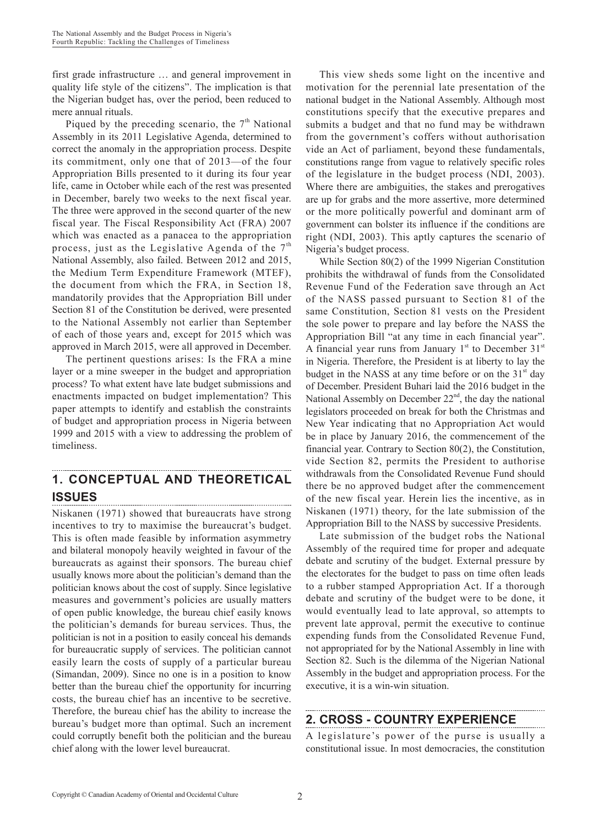first grade infrastructure … and general improvement in quality life style of the citizens". The implication is that the Nigerian budget has, over the period, been reduced to mere annual rituals.

Piqued by the preceding scenario, the  $7<sup>th</sup>$  National Assembly in its 2011 Legislative Agenda, determined to correct the anomaly in the appropriation process. Despite its commitment, only one that of 2013—of the four Appropriation Bills presented to it during its four year life, came in October while each of the rest was presented in December, barely two weeks to the next fiscal year. The three were approved in the second quarter of the new fiscal year. The Fiscal Responsibility Act (FRA) 2007 which was enacted as a panacea to the appropriation process, just as the Legislative Agenda of the  $7<sup>th</sup>$ National Assembly, also failed. Between 2012 and 2015, the Medium Term Expenditure Framework (MTEF), the document from which the FRA, in Section 18, mandatorily provides that the Appropriation Bill under Section 81 of the Constitution be derived, were presented to the National Assembly not earlier than September of each of those years and, except for 2015 which was approved in March 2015, were all approved in December.

The pertinent questions arises: Is the FRA a mine layer or a mine sweeper in the budget and appropriation process? To what extent have late budget submissions and enactments impacted on budget implementation? This paper attempts to identify and establish the constraints of budget and appropriation process in Nigeria between 1999 and 2015 with a view to addressing the problem of timeliness.

#### **1. CONCEPTUAL AND THEORETICAL ISSUES**

Niskanen (1971) showed that bureaucrats have strong incentives to try to maximise the bureaucrat's budget. This is often made feasible by information asymmetry and bilateral monopoly heavily weighted in favour of the bureaucrats as against their sponsors. The bureau chief usually knows more about the politician's demand than the politician knows about the cost of supply. Since legislative measures and government's policies are usually matters of open public knowledge, the bureau chief easily knows the politician's demands for bureau services. Thus, the politician is not in a position to easily conceal his demands for bureaucratic supply of services. The politician cannot easily learn the costs of supply of a particular bureau (Simandan, 2009). Since no one is in a position to know better than the bureau chief the opportunity for incurring costs, the bureau chief has an incentive to be secretive. Therefore, the bureau chief has the ability to increase the bureau's budget more than optimal. Such an increment could corruptly benefit both the politician and the bureau chief along with the lower level bureaucrat.

This view sheds some light on the incentive and motivation for the perennial late presentation of the national budget in the National Assembly. Although most constitutions specify that the executive prepares and submits a budget and that no fund may be withdrawn from the government's coffers without authorisation vide an Act of parliament, beyond these fundamentals, constitutions range from vague to relatively specific roles of the legislature in the budget process (NDI, 2003). Where there are ambiguities, the stakes and prerogatives are up for grabs and the more assertive, more determined or the more politically powerful and dominant arm of government can bolster its influence if the conditions are right (NDI, 2003). This aptly captures the scenario of Nigeria's budget process.

While Section 80(2) of the 1999 Nigerian Constitution prohibits the withdrawal of funds from the Consolidated Revenue Fund of the Federation save through an Act of the NASS passed pursuant to Section 81 of the same Constitution, Section 81 vests on the President the sole power to prepare and lay before the NASS the Appropriation Bill "at any time in each financial year". A financial year runs from January  $1<sup>st</sup>$  to December  $31<sup>st</sup>$ in Nigeria. Therefore, the President is at liberty to lay the budget in the NASS at any time before or on the  $31<sup>st</sup>$  day of December. President Buhari laid the 2016 budget in the National Assembly on December 22<sup>nd</sup>, the day the national legislators proceeded on break for both the Christmas and New Year indicating that no Appropriation Act would be in place by January 2016, the commencement of the financial year. Contrary to Section 80(2), the Constitution, vide Section 82, permits the President to authorise withdrawals from the Consolidated Revenue Fund should there be no approved budget after the commencement of the new fiscal year. Herein lies the incentive, as in Niskanen (1971) theory, for the late submission of the Appropriation Bill to the NASS by successive Presidents.

Late submission of the budget robs the National Assembly of the required time for proper and adequate debate and scrutiny of the budget. External pressure by the electorates for the budget to pass on time often leads to a rubber stamped Appropriation Act. If a thorough debate and scrutiny of the budget were to be done, it would eventually lead to late approval, so attempts to prevent late approval, permit the executive to continue expending funds from the Consolidated Revenue Fund, not appropriated for by the National Assembly in line with Section 82. Such is the dilemma of the Nigerian National Assembly in the budget and appropriation process. For the executive, it is a win-win situation.

## **2. CROSS - COUNTRY EXPERIENCE**

A legislature's power of the purse is usually a constitutional issue. In most democracies, the constitution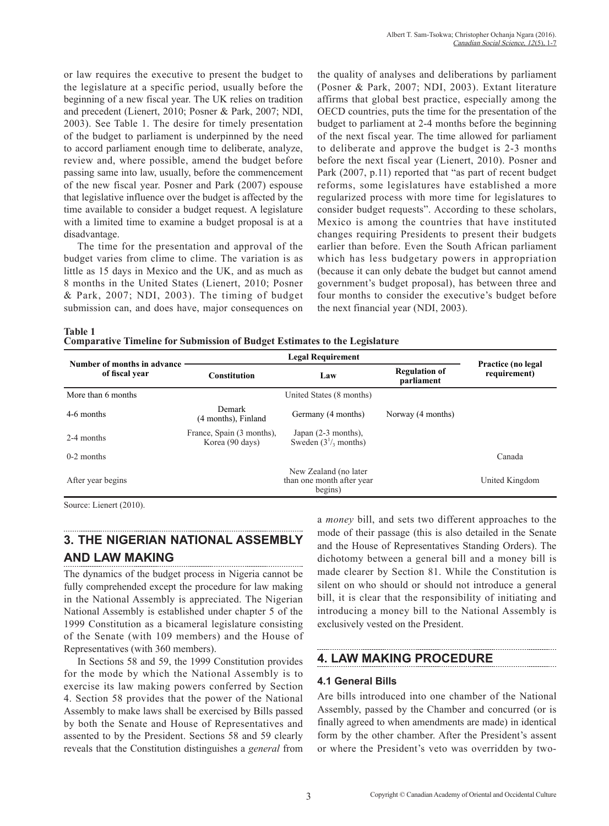or law requires the executive to present the budget to the legislature at a specific period, usually before the beginning of a new fiscal year. The UK relies on tradition and precedent (Lienert, 2010; Posner & Park, 2007; NDI, 2003). See Table 1. The desire for timely presentation of the budget to parliament is underpinned by the need to accord parliament enough time to deliberate, analyze, review and, where possible, amend the budget before passing same into law, usually, before the commencement of the new fiscal year. Posner and Park (2007) espouse that legislative influence over the budget is affected by the time available to consider a budget request. A legislature with a limited time to examine a budget proposal is at a disadvantage.

The time for the presentation and approval of the budget varies from clime to clime. The variation is as little as 15 days in Mexico and the UK, and as much as 8 months in the United States (Lienert, 2010; Posner & Park, 2007; NDI, 2003). The timing of budget submission can, and does have, major consequences on the quality of analyses and deliberations by parliament (Posner & Park, 2007; NDI, 2003). Extant literature affirms that global best practice, especially among the OECD countries, puts the time for the presentation of the budget to parliament at 2-4 months before the beginning of the next fiscal year. The time allowed for parliament to deliberate and approve the budget is 2-3 months before the next fiscal year (Lienert, 2010). Posner and Park (2007, p.11) reported that "as part of recent budget reforms, some legislatures have established a more regularized process with more time for legislatures to consider budget requests". According to these scholars, Mexico is among the countries that have instituted changes requiring Presidents to present their budgets earlier than before. Even the South African parliament which has less budgetary powers in appropriation (because it can only debate the budget but cannot amend government's budget proposal), has between three and four months to consider the executive's budget before the next financial year (NDI, 2003).

**Table 1**

**Comparative Timeline for Submission of Budget Estimates to the Legislature**

| Number of months in advance |                                              |                                                 |                   |                                    |
|-----------------------------|----------------------------------------------|-------------------------------------------------|-------------------|------------------------------------|
| of fiscal year              | <b>Constitution</b>                          | <b>Regulation of</b><br>Law<br>parliament       |                   | Practice (no legal<br>requirement) |
| More than 6 months          |                                              | United States (8 months)                        |                   |                                    |
| 4-6 months                  | Demark<br>(4 months), Finland                | Germany (4 months)                              | Norway (4 months) |                                    |
| 2-4 months                  | France, Spain (3 months),<br>Korea (90 days) | Japan $(2-3$ months),<br>Sweden $(31/3$ months) |                   |                                    |
| $0-2$ months                |                                              |                                                 |                   | Canada                             |
| After year begins           | than one month after year                    |                                                 |                   | United Kingdom                     |

Source: Lienert (2010).

# **3. THE NIGERIAN NATIONAL ASSEMBLY AND LAW MAKING**

The dynamics of the budget process in Nigeria cannot be fully comprehended except the procedure for law making in the National Assembly is appreciated. The Nigerian National Assembly is established under chapter 5 of the 1999 Constitution as a bicameral legislature consisting of the Senate (with 109 members) and the House of Representatives (with 360 members).

In Sections 58 and 59, the 1999 Constitution provides for the mode by which the National Assembly is to exercise its law making powers conferred by Section 4. Section 58 provides that the power of the National Assembly to make laws shall be exercised by Bills passed by both the Senate and House of Representatives and assented to by the President. Sections 58 and 59 clearly reveals that the Constitution distinguishes a *general* from a *money* bill, and sets two different approaches to the mode of their passage (this is also detailed in the Senate and the House of Representatives Standing Orders). The dichotomy between a general bill and a money bill is made clearer by Section 81. While the Constitution is silent on who should or should not introduce a general bill, it is clear that the responsibility of initiating and introducing a money bill to the National Assembly is exclusively vested on the President.

# **4. LAW MAKING PROCEDURE**

## **4.1 General Bills**

Are bills introduced into one chamber of the National Assembly, passed by the Chamber and concurred (or is finally agreed to when amendments are made) in identical form by the other chamber. After the President's assent or where the President's veto was overridden by two-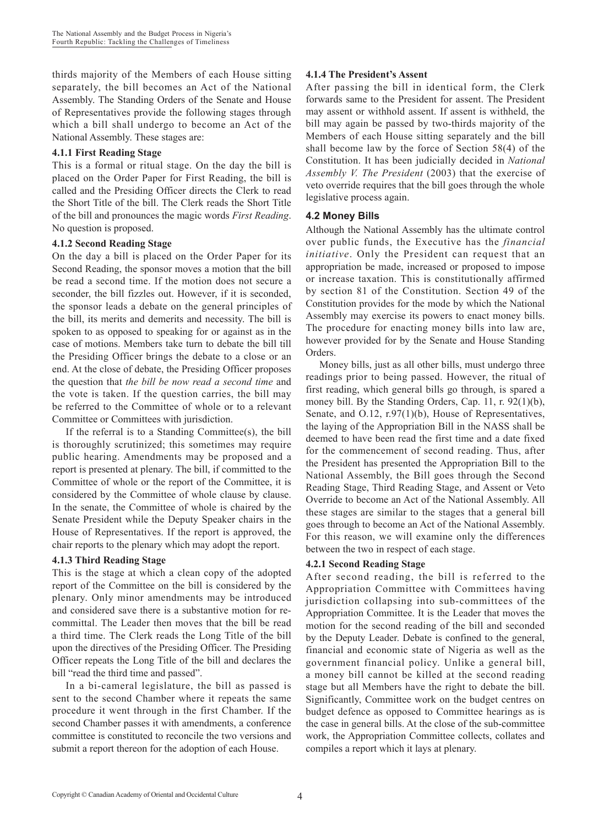thirds majority of the Members of each House sitting separately, the bill becomes an Act of the National Assembly. The Standing Orders of the Senate and House of Representatives provide the following stages through which a bill shall undergo to become an Act of the National Assembly. These stages are:

#### **4.1.1 First Reading Stage**

This is a formal or ritual stage. On the day the bill is placed on the Order Paper for First Reading, the bill is called and the Presiding Officer directs the Clerk to read the Short Title of the bill. The Clerk reads the Short Title of the bill and pronounces the magic words *First Reading*. No question is proposed.

#### **4.1.2 Second Reading Stage**

On the day a bill is placed on the Order Paper for its Second Reading, the sponsor moves a motion that the bill be read a second time. If the motion does not secure a seconder, the bill fizzles out. However, if it is seconded, the sponsor leads a debate on the general principles of the bill, its merits and demerits and necessity. The bill is spoken to as opposed to speaking for or against as in the case of motions. Members take turn to debate the bill till the Presiding Officer brings the debate to a close or an end. At the close of debate, the Presiding Officer proposes the question that *the bill be now read a second time* and the vote is taken. If the question carries, the bill may be referred to the Committee of whole or to a relevant Committee or Committees with jurisdiction.

If the referral is to a Standing Committee(s), the bill is thoroughly scrutinized; this sometimes may require public hearing. Amendments may be proposed and a report is presented at plenary. The bill, if committed to the Committee of whole or the report of the Committee, it is considered by the Committee of whole clause by clause. In the senate, the Committee of whole is chaired by the Senate President while the Deputy Speaker chairs in the House of Representatives. If the report is approved, the chair reports to the plenary which may adopt the report.

#### **4.1.3 Third Reading Stage**

This is the stage at which a clean copy of the adopted report of the Committee on the bill is considered by the plenary. Only minor amendments may be introduced and considered save there is a substantive motion for recommittal. The Leader then moves that the bill be read a third time. The Clerk reads the Long Title of the bill upon the directives of the Presiding Officer. The Presiding Officer repeats the Long Title of the bill and declares the bill "read the third time and passed".

In a bi-cameral legislature, the bill as passed is sent to the second Chamber where it repeats the same procedure it went through in the first Chamber. If the second Chamber passes it with amendments, a conference committee is constituted to reconcile the two versions and submit a report thereon for the adoption of each House.

#### **4.1.4 The President's Assent**

After passing the bill in identical form, the Clerk forwards same to the President for assent. The President may assent or withhold assent. If assent is withheld, the bill may again be passed by two-thirds majority of the Members of each House sitting separately and the bill shall become law by the force of Section 58(4) of the Constitution. It has been judicially decided in *National Assembly V. The President* (2003) that the exercise of veto override requires that the bill goes through the whole legislative process again.

### **4.2 Money Bills**

Although the National Assembly has the ultimate control over public funds, the Executive has the *financial initiative*. Only the President can request that an appropriation be made, increased or proposed to impose or increase taxation. This is constitutionally affirmed by section 81 of the Constitution. Section 49 of the Constitution provides for the mode by which the National Assembly may exercise its powers to enact money bills. The procedure for enacting money bills into law are, however provided for by the Senate and House Standing Orders.

Money bills, just as all other bills, must undergo three readings prior to being passed. However, the ritual of first reading, which general bills go through, is spared a money bill. By the Standing Orders, Cap. 11, r. 92(1)(b), Senate, and O.12, r.97(1)(b), House of Representatives, the laying of the Appropriation Bill in the NASS shall be deemed to have been read the first time and a date fixed for the commencement of second reading. Thus, after the President has presented the Appropriation Bill to the National Assembly, the Bill goes through the Second Reading Stage, Third Reading Stage, and Assent or Veto Override to become an Act of the National Assembly. All these stages are similar to the stages that a general bill goes through to become an Act of the National Assembly. For this reason, we will examine only the differences between the two in respect of each stage.

#### **4.2.1 Second Reading Stage**

After second reading, the bill is referred to the Appropriation Committee with Committees having jurisdiction collapsing into sub-committees of the Appropriation Committee. It is the Leader that moves the motion for the second reading of the bill and seconded by the Deputy Leader. Debate is confined to the general, financial and economic state of Nigeria as well as the government financial policy. Unlike a general bill, a money bill cannot be killed at the second reading stage but all Members have the right to debate the bill. Significantly, Committee work on the budget centres on budget defence as opposed to Committee hearings as is the case in general bills. At the close of the sub-committee work, the Appropriation Committee collects, collates and compiles a report which it lays at plenary.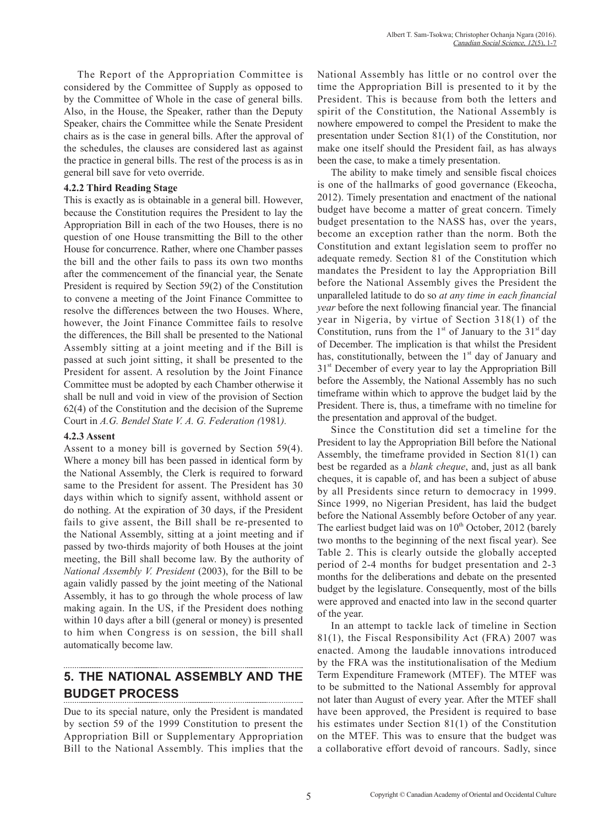The Report of the Appropriation Committee is considered by the Committee of Supply as opposed to by the Committee of Whole in the case of general bills. Also, in the House, the Speaker, rather than the Deputy Speaker, chairs the Committee while the Senate President chairs as is the case in general bills. After the approval of the schedules, the clauses are considered last as against the practice in general bills. The rest of the process is as in general bill save for veto override.

#### **4.2.2 Third Reading Stage**

This is exactly as is obtainable in a general bill. However, because the Constitution requires the President to lay the Appropriation Bill in each of the two Houses, there is no question of one House transmitting the Bill to the other House for concurrence. Rather, where one Chamber passes the bill and the other fails to pass its own two months after the commencement of the financial year, the Senate President is required by Section 59(2) of the Constitution to convene a meeting of the Joint Finance Committee to resolve the differences between the two Houses. Where, however, the Joint Finance Committee fails to resolve the differences, the Bill shall be presented to the National Assembly sitting at a joint meeting and if the Bill is passed at such joint sitting, it shall be presented to the President for assent. A resolution by the Joint Finance Committee must be adopted by each Chamber otherwise it shall be null and void in view of the provision of Section 62(4) of the Constitution and the decision of the Supreme Court in *A.G. Bendel State V. A. G. Federation (*1981*).*

#### **4.2.3 Assent**

Assent to a money bill is governed by Section 59(4). Where a money bill has been passed in identical form by the National Assembly, the Clerk is required to forward same to the President for assent. The President has 30 days within which to signify assent, withhold assent or do nothing. At the expiration of 30 days, if the President fails to give assent, the Bill shall be re-presented to the National Assembly, sitting at a joint meeting and if passed by two-thirds majority of both Houses at the joint meeting, the Bill shall become law. By the authority of *National Assembly V. President* (2003), for the Bill to be again validly passed by the joint meeting of the National Assembly, it has to go through the whole process of law making again. In the US, if the President does nothing within 10 days after a bill (general or money) is presented to him when Congress is on session, the bill shall automatically become law.

# **5. THE NATIONAL ASSEMBLY AND THE BUDGET PROCESS**

Due to its special nature, only the President is mandated by section 59 of the 1999 Constitution to present the Appropriation Bill or Supplementary Appropriation Bill to the National Assembly. This implies that the National Assembly has little or no control over the time the Appropriation Bill is presented to it by the President. This is because from both the letters and spirit of the Constitution, the National Assembly is nowhere empowered to compel the President to make the presentation under Section 81(1) of the Constitution, nor make one itself should the President fail, as has always been the case, to make a timely presentation.

The ability to make timely and sensible fiscal choices is one of the hallmarks of good governance (Ekeocha, 2012). Timely presentation and enactment of the national budget have become a matter of great concern. Timely budget presentation to the NASS has, over the years, become an exception rather than the norm. Both the Constitution and extant legislation seem to proffer no adequate remedy. Section 81 of the Constitution which mandates the President to lay the Appropriation Bill before the National Assembly gives the President the unparalleled latitude to do so *at any time in each financial year* before the next following financial year. The financial year in Nigeria, by virtue of Section 318(1) of the Constitution, runs from the  $1<sup>st</sup>$  of January to the  $31<sup>st</sup>$  day of December. The implication is that whilst the President has, constitutionally, between the 1<sup>st</sup> day of January and  $31<sup>st</sup>$  December of every year to lay the Appropriation Bill before the Assembly, the National Assembly has no such timeframe within which to approve the budget laid by the President. There is, thus, a timeframe with no timeline for the presentation and approval of the budget.

Since the Constitution did set a timeline for the President to lay the Appropriation Bill before the National Assembly, the timeframe provided in Section 81(1) can best be regarded as a *blank cheque*, and, just as all bank cheques, it is capable of, and has been a subject of abuse by all Presidents since return to democracy in 1999. Since 1999, no Nigerian President, has laid the budget before the National Assembly before October of any year. The earliest budget laid was on  $10^{th}$  October, 2012 (barely two months to the beginning of the next fiscal year). See Table 2. This is clearly outside the globally accepted period of 2-4 months for budget presentation and 2-3 months for the deliberations and debate on the presented budget by the legislature. Consequently, most of the bills were approved and enacted into law in the second quarter of the year.

In an attempt to tackle lack of timeline in Section 81(1), the Fiscal Responsibility Act (FRA) 2007 was enacted. Among the laudable innovations introduced by the FRA was the institutionalisation of the Medium Term Expenditure Framework (MTEF). The MTEF was to be submitted to the National Assembly for approval not later than August of every year. After the MTEF shall have been approved, the President is required to base his estimates under Section 81(1) of the Constitution on the MTEF. This was to ensure that the budget was a collaborative effort devoid of rancours. Sadly, since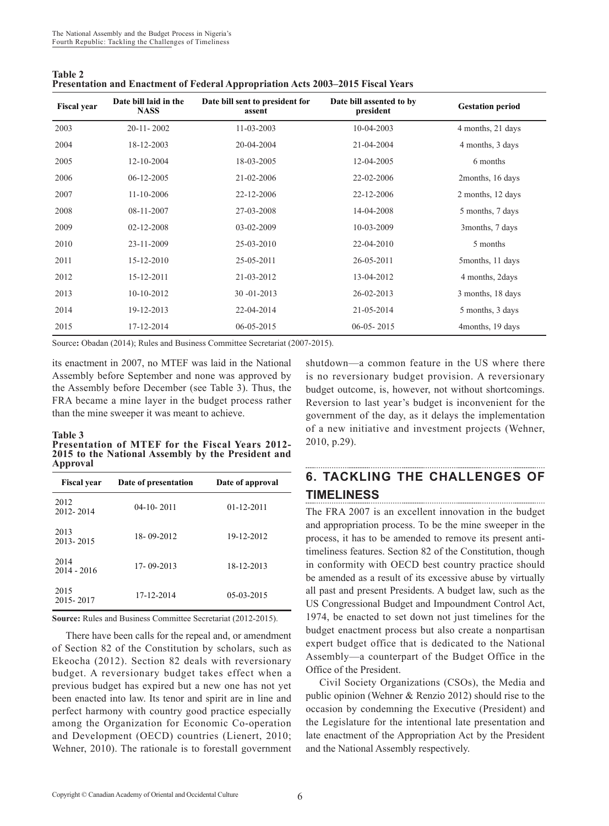| <b>Table 2</b>                                                                  |  |
|---------------------------------------------------------------------------------|--|
| Presentation and Enactment of Federal Appropriation Acts 2003–2015 Fiscal Years |  |

| <b>Fiscal year</b> | Date bill laid in the<br><b>NASS</b> | Date bill sent to president for<br>assent | Date bill assented to by<br>president | <b>Gestation period</b> |
|--------------------|--------------------------------------|-------------------------------------------|---------------------------------------|-------------------------|
| 2003               | $20-11-2002$                         | $11 - 03 - 2003$                          | 10-04-2003                            | 4 months, 21 days       |
| 2004               | 18-12-2003                           | 20-04-2004                                | 21-04-2004                            | 4 months, 3 days        |
| 2005               | 12-10-2004                           | 18-03-2005                                | 12-04-2005                            | 6 months                |
| 2006               | $06-12-2005$                         | 21-02-2006                                | 22-02-2006                            | 2months, 16 days        |
| 2007               | 11-10-2006                           | 22-12-2006                                | 22-12-2006                            | 2 months, 12 days       |
| 2008               | 08-11-2007                           | 27-03-2008                                | 14-04-2008                            | 5 months, 7 days        |
| 2009               | 02-12-2008                           | 03-02-2009                                | 10-03-2009                            | 3months, 7 days         |
| 2010               | 23-11-2009                           | 25-03-2010                                | 22-04-2010                            | 5 months                |
| 2011               | 15-12-2010                           | 25-05-2011                                | 26-05-2011                            | 5 months, 11 days       |
| 2012               | 15-12-2011                           | 21-03-2012                                | 13-04-2012                            | 4 months, 2days         |
| 2013               | $10-10-2012$                         | $30 - 01 - 2013$                          | 26-02-2013                            | 3 months, 18 days       |
| 2014               | 19-12-2013                           | 22-04-2014                                | 21-05-2014                            | 5 months, 3 days        |
| 2015               | 17-12-2014                           | 06-05-2015                                | $06-05-2015$                          | 4months, 19 days        |

Source: Obadan (2014); Rules and Business Committee Secretariat (2007-2015).

its enactment in 2007, no MTEF was laid in the National Assembly before September and none was approved by the Assembly before December (see Table 3). Thus, the FRA became a mine layer in the budget process rather than the mine sweeper it was meant to achieve.

#### **Table 3**

**Presentation of MTEF for the Fiscal Years 2012- 2015 to the National Assembly by the President and Approval**

| <b>Fiscal year</b>    | Date of presentation | Date of approval |
|-----------------------|----------------------|------------------|
| 2012<br>2012-2014     | $04-10-2011$         | $01 - 12 - 2011$ |
| 2013<br>2013-2015     | 18-09-2012           | 19-12-2012       |
| 2014<br>$2014 - 2016$ | 17-09-2013           | 18-12-2013       |
| 2015<br>2015-2017     | 17-12-2014           | $05-03-2015$     |

**Source:** Rules and Business Committee Secretariat (2012-2015).

There have been calls for the repeal and, or amendment of Section 82 of the Constitution by scholars, such as Ekeocha (2012). Section 82 deals with reversionary budget. A reversionary budget takes effect when a previous budget has expired but a new one has not yet been enacted into law. Its tenor and spirit are in line and perfect harmony with country good practice especially among the Organization for Economic Co-operation and Development (OECD) countries (Lienert, 2010; Wehner, 2010). The rationale is to forestall government

shutdown—a common feature in the US where there is no reversionary budget provision. A reversionary budget outcome, is, however, not without shortcomings. Reversion to last year's budget is inconvenient for the government of the day, as it delays the implementation of a new initiative and investment projects (Wehner, 2010, p.29).

#### **6. TACKLING THE CHALLENGES OF TIMELINESS**

The FRA 2007 is an excellent innovation in the budget and appropriation process. To be the mine sweeper in the process, it has to be amended to remove its present antitimeliness features. Section 82 of the Constitution, though in conformity with OECD best country practice should be amended as a result of its excessive abuse by virtually all past and present Presidents. A budget law, such as the US Congressional Budget and Impoundment Control Act, 1974, be enacted to set down not just timelines for the budget enactment process but also create a nonpartisan expert budget office that is dedicated to the National Assembly—a counterpart of the Budget Office in the Office of the President.

Civil Society Organizations (CSOs), the Media and public opinion (Wehner & Renzio 2012) should rise to the occasion by condemning the Executive (President) and the Legislature for the intentional late presentation and late enactment of the Appropriation Act by the President and the National Assembly respectively.